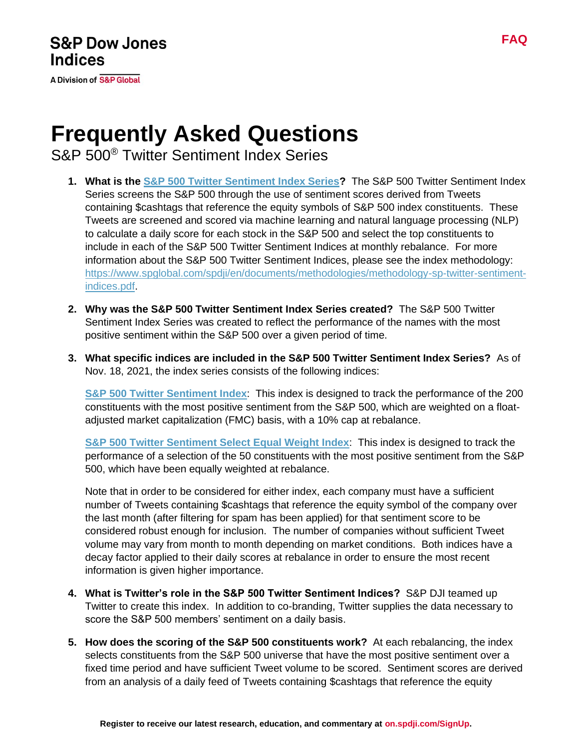**A Division of S&P Global** 

## **Frequently Asked Questions**

S&P 500® Twitter Sentiment Index Series

- **1. What is the [S&P 500 Twitter Sentiment Index Series?](https://www.spglobal.com/spdji/en/index-family/strategy/factors/social-media-sentiment/?utm_source=pdf_education)** The S&P 500 Twitter Sentiment Index Series screens the S&P 500 through the use of sentiment scores derived from Tweets containing \$cashtags that reference the equity symbols of S&P 500 index constituents. These Tweets are screened and scored via machine learning and natural language processing (NLP) to calculate a daily score for each stock in the S&P 500 and select the top constituents to include in each of the S&P 500 Twitter Sentiment Indices at monthly rebalance. For more information about the S&P 500 Twitter Sentiment Indices, please see the index methodology: [https://www.spglobal.com/spdji/en/documents/methodologies/methodology-sp-twitter-sentiment](https://www.spglobal.com/spdji/en/documents/methodologies/methodology-sp-twitter-sentiment-indices.pdf?utm_source=pdf_education)[indices.pdf.](https://www.spglobal.com/spdji/en/documents/methodologies/methodology-sp-twitter-sentiment-indices.pdf?utm_source=pdf_education)
- **2. Why was the S&P 500 Twitter Sentiment Index Series created?** The S&P 500 Twitter Sentiment Index Series was created to reflect the performance of the names with the most positive sentiment within the S&P 500 over a given period of time.
- **3. What specific indices are included in the S&P 500 Twitter Sentiment Index Series?** As of Nov. 18, 2021, the index series consists of the following indices:

**[S&P 500 Twitter Sentiment Index](https://www.spglobal.com/spdji/en/indices/strategy/sp-500-twitter-sentiment-index?utm_source=pdf_education)**: This index is designed to track the performance of the 200 constituents with the most positive sentiment from the S&P 500, which are weighted on a floatadjusted market capitalization (FMC) basis, with a 10% cap at rebalance.

**[S&P 500 Twitter Sentiment Select Equal Weight Index](https://www.spglobal.com/spdji/en/indices/strategy/sp-500-twitter-sentiment-select-equal-weight-index?utm_source=pdf_education)**: This index is designed to track the performance of a selection of the 50 constituents with the most positive sentiment from the S&P 500, which have been equally weighted at rebalance.

Note that in order to be considered for either index, each company must have a sufficient number of Tweets containing \$cashtags that reference the equity symbol of the company over the last month (after filtering for spam has been applied) for that sentiment score to be considered robust enough for inclusion. The number of companies without sufficient Tweet volume may vary from month to month depending on market conditions. Both indices have a decay factor applied to their daily scores at rebalance in order to ensure the most recent information is given higher importance.

- **4. What is Twitter's role in the S&P 500 Twitter Sentiment Indices?** S&P DJI teamed up Twitter to create this index. In addition to co-branding, Twitter supplies the data necessary to score the S&P 500 members' sentiment on a daily basis.
- **5. How does the scoring of the S&P 500 constituents work?** At each rebalancing, the index selects constituents from the S&P 500 universe that have the most positive sentiment over a fixed time period and have sufficient Tweet volume to be scored. Sentiment scores are derived from an analysis of a daily feed of Tweets containing \$cashtags that reference the equity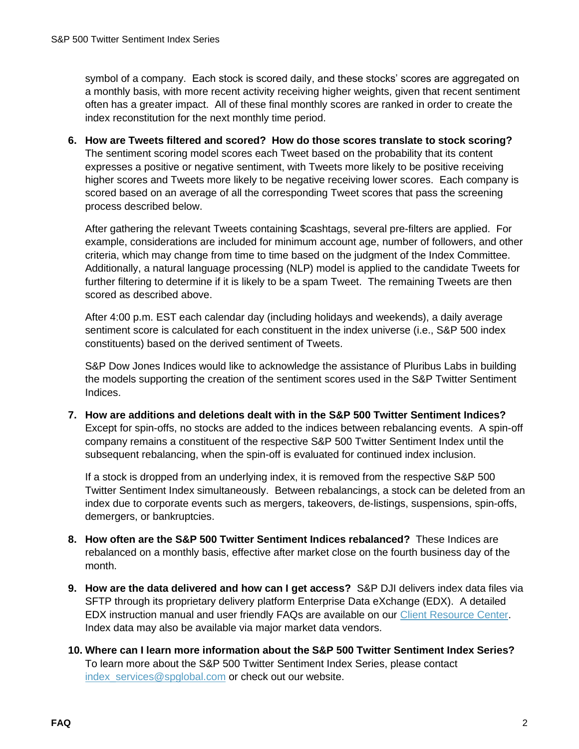symbol of a company. Each stock is scored daily, and these stocks' scores are aggregated on a monthly basis, with more recent activity receiving higher weights, given that recent sentiment often has a greater impact. All of these final monthly scores are ranked in order to create the index reconstitution for the next monthly time period.

**6. How are Tweets filtered and scored? How do those scores translate to stock scoring?** The sentiment scoring model scores each Tweet based on the probability that its content expresses a positive or negative sentiment, with Tweets more likely to be positive receiving higher scores and Tweets more likely to be negative receiving lower scores. Each company is scored based on an average of all the corresponding Tweet scores that pass the screening process described below.

After gathering the relevant Tweets containing \$cashtags, several pre-filters are applied. For example, considerations are included for minimum account age, number of followers, and other criteria, which may change from time to time based on the judgment of the Index Committee. Additionally, a natural language processing (NLP) model is applied to the candidate Tweets for further filtering to determine if it is likely to be a spam Tweet. The remaining Tweets are then scored as described above.

After 4:00 p.m. EST each calendar day (including holidays and weekends), a daily average sentiment score is calculated for each constituent in the index universe (i.e., S&P 500 index constituents) based on the derived sentiment of Tweets.

S&P Dow Jones Indices would like to acknowledge the assistance of Pluribus Labs in building the models supporting the creation of the sentiment scores used in the S&P Twitter Sentiment Indices.

**7. How are additions and deletions dealt with in the S&P 500 Twitter Sentiment Indices?** Except for spin-offs, no stocks are added to the indices between rebalancing events. A spin-off company remains a constituent of the respective S&P 500 Twitter Sentiment Index until the subsequent rebalancing, when the spin-off is evaluated for continued index inclusion.

If a stock is dropped from an underlying index, it is removed from the respective S&P 500 Twitter Sentiment Index simultaneously. Between rebalancings, a stock can be deleted from an index due to corporate events such as mergers, takeovers, de-listings, suspensions, spin-offs, demergers, or bankruptcies.

- **8. How often are the S&P 500 Twitter Sentiment Indices rebalanced?** These Indices are rebalanced on a monthly basis, effective after market close on the fourth business day of the month.
- **9. How are the data delivered and how can I get access?** S&P DJI delivers index data files via SFTP through its proprietary delivery platform Enterprise Data eXchange (EDX). A detailed EDX instruction manual and user friendly FAQs are available on our [Client Resource Center.](https://www.spglobal.com/spdji/en/client-services/document-center/frequently-asked-questions-edx?utm_source=pdf_education) Index data may also be available via major market data vendors.
- **10. Where can I learn more information about the S&P 500 Twitter Sentiment Index Series?** To learn more about the S&P 500 Twitter Sentiment Index Series, please contact index services@spglobal.com or check out our website.